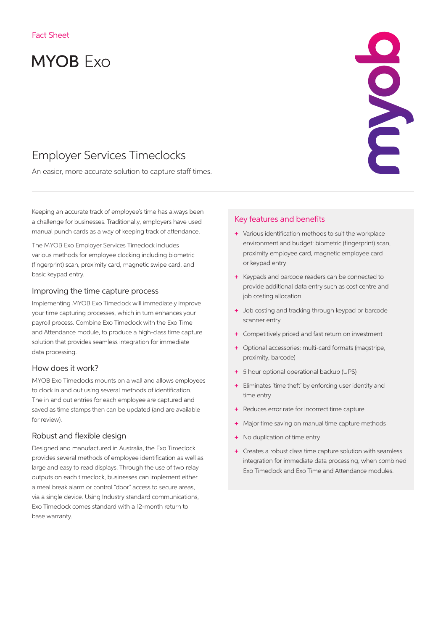# **MYOB Exo**

# Employer Services Timeclocks

An easier, more accurate solution to capture staff times.

Keeping an accurate track of employee's time has always been a challenge for businesses. Traditionally, employers have used manual punch cards as a way of keeping track of attendance.

The MYOB Exo Employer Services Timeclock includes various methods for employee clocking including biometric (fingerprint) scan, proximity card, magnetic swipe card, and basic keypad entry.

# Improving the time capture process

Implementing MYOB Exo Timeclock will immediately improve your time capturing processes, which in turn enhances your payroll process. Combine Exo Timeclock with the Exo Time and Attendance module, to produce a high-class time capture solution that provides seamless integration for immediate data processing.

## How does it work?

MYOB Exo Timeclocks mounts on a wall and allows employees to clock in and out using several methods of identification. The in and out entries for each employee are captured and saved as time stamps then can be updated (and are available for review).

# Robust and flexible design

Designed and manufactured in Australia, the Exo Timeclock provides several methods of employee identification as well as large and easy to read displays. Through the use of two relay outputs on each timeclock, businesses can implement either a meal break alarm or control "door" access to secure areas, via a single device. Using Industry standard communications, Exo Timeclock comes standard with a 12-month return to base warranty.

# Key features and benefits

+ Various identification methods to suit the workplace environment and budget: biometric (fingerprint) scan, proximity employee card, magnetic employee card or keypad entry

CONC

- + Keypads and barcode readers can be connected to provide additional data entry such as cost centre and job costing allocation
- + Job costing and tracking through keypad or barcode scanner entry
- + Competitively priced and fast return on investment
- + Optional accessories: multi-card formats (magstripe, proximity, barcode)
- + 5 hour optional operational backup (UPS)
- + Eliminates 'time theft' by enforcing user identity and time entry
- + Reduces error rate for incorrect time capture
- + Major time saving on manual time capture methods
- + No duplication of time entry
- + Creates a robust class time capture solution with seamless integration for immediate data processing, when combined Exo Timeclock and Exo Time and Attendance modules.